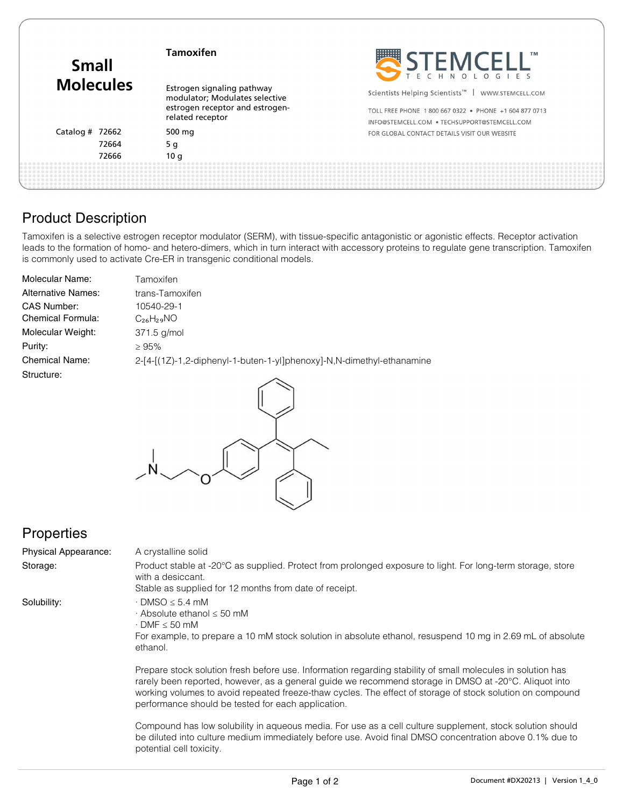| <b>Small</b><br><b>Molecules</b> | <b>Tamoxifen</b>                                             | STEMCELL'                                                     |
|----------------------------------|--------------------------------------------------------------|---------------------------------------------------------------|
|                                  | Estrogen signaling pathway<br>modulator; Modulates selective | Scientists Helping Scientists <sup>™</sup>   WWW.STEMCELL.COM |
|                                  | estrogen receptor and estrogen-<br>related receptor          | TOLL FREE PHONE 1800 667 0322 . PHONE +1 604 877 0713         |
|                                  |                                                              | INFO@STEMCELL.COM . TECHSUPPORT@STEMCELL.COM                  |
| Catalog # 72662                  | 500 mg                                                       | FOR GLOBAL CONTACT DETAILS VISIT OUR WEBSITE                  |
| 72664                            | 5 g                                                          |                                                               |
| 72666                            | 10q                                                          |                                                               |
|                                  |                                                              |                                                               |

### Product Description

Tamoxifen is a selective estrogen receptor modulator (SERM), with tissue-specific antagonistic or agonistic effects. Receptor activation leads to the formation of homo- and hetero-dimers, which in turn interact with accessory proteins to regulate gene transcription. Tamoxifen is commonly used to activate Cre-ER in transgenic conditional models.

| Molecular Name:           | Tamoxifen                                                             |
|---------------------------|-----------------------------------------------------------------------|
| <b>Alternative Names:</b> | trans-Tamoxifen                                                       |
| <b>CAS Number:</b>        | 10540-29-1                                                            |
| <b>Chemical Formula:</b>  | $C_{26}H_{29}NO$                                                      |
| Molecular Weight:         | 371.5 g/mol                                                           |
| Purity:                   | >95%                                                                  |
| <b>Chemical Name:</b>     | 2-[4-[(1Z)-1,2-diphenyl-1-buten-1-yl]phenoxy]-N,N-dimethyl-ethanamine |
| Structure:                |                                                                       |



# **Properties**

Physical Appearance:

A crystalline solid

Storage: Product stable at -20°C as supplied. Protect from prolonged exposure to light. For long-term storage, store with a desiccant.

Stable as supplied for 12 months from date of receipt.

Solubility:

 $\cdot$  DMSO  $\leq$  5.4 mM · Absolute ethanol ≤ 50 mM

· DMF ≤ 50 mM

For example, to prepare a 10 mM stock solution in absolute ethanol, resuspend 10 mg in 2.69 mL of absolute ethanol.

Prepare stock solution fresh before use. Information regarding stability of small molecules in solution has rarely been reported, however, as a general guide we recommend storage in DMSO at -20°C. Aliquot into working volumes to avoid repeated freeze-thaw cycles. The effect of storage of stock solution on compound performance should be tested for each application.

Compound has low solubility in aqueous media. For use as a cell culture supplement, stock solution should be diluted into culture medium immediately before use. Avoid final DMSO concentration above 0.1% due to potential cell toxicity.